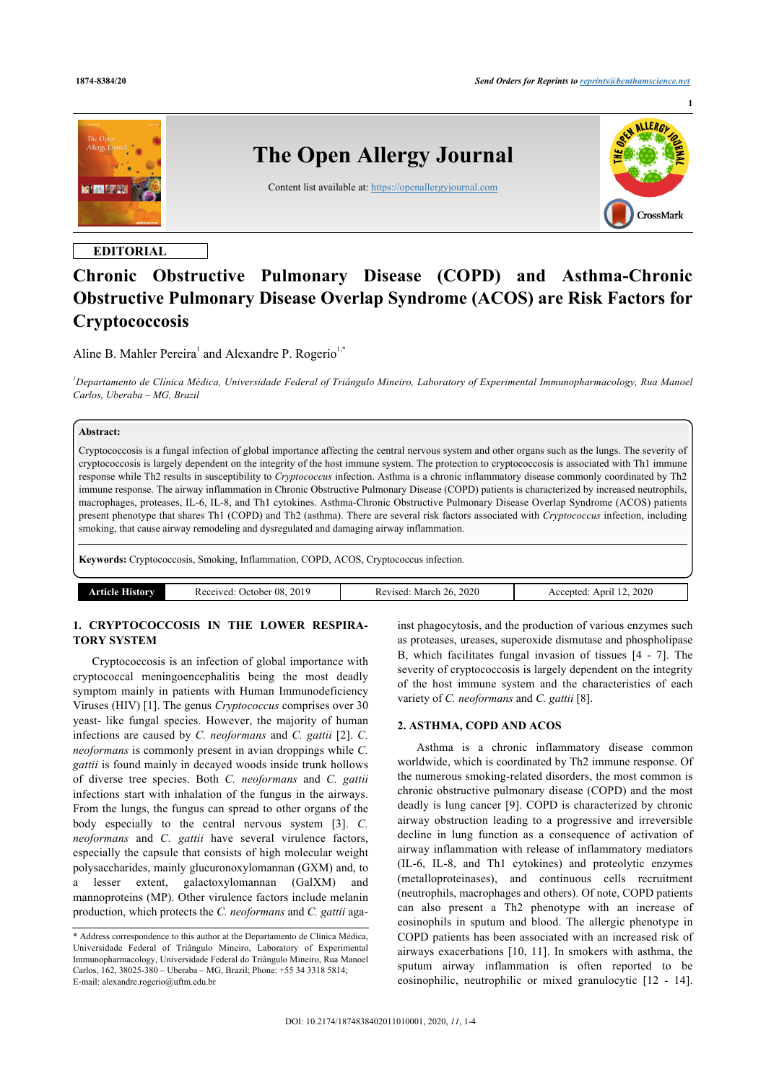**1**



# **EDITORIAL**

# **Chronic Obstructive Pulmonary Disease (COPD) and Asthma-Chronic Obstructive Pulmonary Disease Overlap Syndrome (ACOS) are Risk Factors for Cryptococcosis**

Aline B. Mahler Pereira<sup>[1](#page-0-0)</sup> and Alexandre P. Rogerio<sup>[1,](#page-0-0)[\\*](#page-0-1)</sup>

<span id="page-0-0"></span>*<sup>1</sup>Departamento de Clínica Médica, Universidade Federal of Triângulo Mineiro, Laboratory of Experimental Immunopharmacology, Rua Manoel Carlos, Uberaba – MG, Brazil*

# **Abstract:**

Cryptococcosis is a fungal infection of global importance affecting the central nervous system and other organs such as the lungs. The severity of cryptococcosis is largely dependent on the integrity of the host immune system. The protection to cryptococcosis is associated with Th1 immune response while Th2 results in susceptibility to *Cryptococcus* infection. Asthma is a chronic inflammatory disease commonly coordinated by Th2 immune response. The airway inflammation in Chronic Obstructive Pulmonary Disease (COPD) patients is characterized by increased neutrophils, macrophages, proteases, IL-6, IL-8, and Th1 cytokines. Asthma-Chronic Obstructive Pulmonary Disease Overlap Syndrome (ACOS) patients present phenotype that shares Th1 (COPD) and Th2 (asthma). There are several risk factors associated with *Cryptococcus* infection, including smoking, that cause airway remodeling and dysregulated and damaging airway inflammation.

**Keywords:** Cryptococcosis, Smoking, Inflammation, COPD, ACOS, Cryptococcus infection.

| .isory<br>rticle. | 2019<br>$\cdot$ 08.<br>. Jetober .<br>Received. | 2020<br>26.<br>$\cdot$ March $\angle$<br>Revised:<br>. | 12.2020<br>Anril<br><b>Accepted</b><br>AC. |
|-------------------|-------------------------------------------------|--------------------------------------------------------|--------------------------------------------|
|                   |                                                 |                                                        |                                            |

# **1. CRYPTOCOCCOSIS IN THE LOWER RESPIRA-TORY SYSTEM**

Cryptococcosis is an infection of global importance with cryptococcal meningoencephalitis being the most deadly symptom mainly in patients with Human Immunodeficiency Viruses (HIV) [[1](#page-2-0)]. The genus *Cryptococcus* comprises over 30 yeast- like fungal species. However, the majority of human infections are caused by *C. neoformans* and *C. gattii* [[2](#page-2-1)]. *C. neoformans* is commonly present in avian droppings while *C. gattii* is found mainly in decayed woods inside trunk hollows of diverse tree species. Both *C. neoformans* and *C. gattii* infections start with inhalation of the fungus in the airways. From the lungs, the fungus can spread to other organs of the body especially to the central nervous system [\[3\]](#page-2-2). *C. neoformans* and *C. gattii* have several virulence factors, especially the capsule that consists of high molecular weight polysaccharides, mainly glucuronoxylomannan (GXM) and, to lesser extent, galactoxylomannan (GalXM) and mannoproteins (MP). Other virulence factors include melanin production, which protects the *C. neoformans* and *C. gattii* aga-

inst phagocytosis, and the production of various enzymes such as proteases, ureases, superoxide dismutase and phospholipase B, which facilitates fungal invasion of tissues[[4](#page-2-3) - [7\]](#page-2-4). The severity of cryptococcosis is largely dependent on the integrity of the host immune system and the characteristics of each variety of *C. neoformans* and *C. gattii* [\[8\]](#page-2-5).

# **2. ASTHMA, COPD AND ACOS**

Asthma is a chronic inflammatory disease common worldwide, which is coordinated by Th2 immune response. Of the numerous smoking-related disorders, the most common is chronic obstructive pulmonary disease (COPD) and the most deadly is lung cancer [[9\]](#page-2-6). COPD is characterized by chronic airway obstruction leading to a progressive and irreversible decline in lung function as a consequence of activation of airway inflammation with release of inflammatory mediators (IL-6, IL-8, and Th1 cytokines) and proteolytic enzymes (metalloproteinases), and continuous cells recruitment (neutrophils, macrophages and others). Of note, COPD patients can also present a Th2 phenotype with an increase of eosinophils in sputum and blood. The allergic phenotype in COPD patients has been associated with an increased risk of airways exacerbations [\[10](#page-2-7), [11](#page-2-8)]. In smokers with asthma, the sputum airway inflammation is often reported to be eosinophilic, neutrophilic or mixed granulocytic[[12](#page-2-9) - [14](#page-2-10)].

<span id="page-0-1"></span><sup>\*</sup> Address correspondence to this author at the Departamento de Clínica Médica, Universidade Federal of Triângulo Mineiro, Laboratory of Experimental Immunopharmacology, Universidade Federal do Triângulo Mineiro, Rua Manoel Carlos, 162, 38025-380 – Uberaba – MG, Brazil; Phone: +55 34 3318 5814; E-mail: [alexandre.rogerio@uftm.edu.br](mailto:alexandre.rogerio@uftm.edu.br)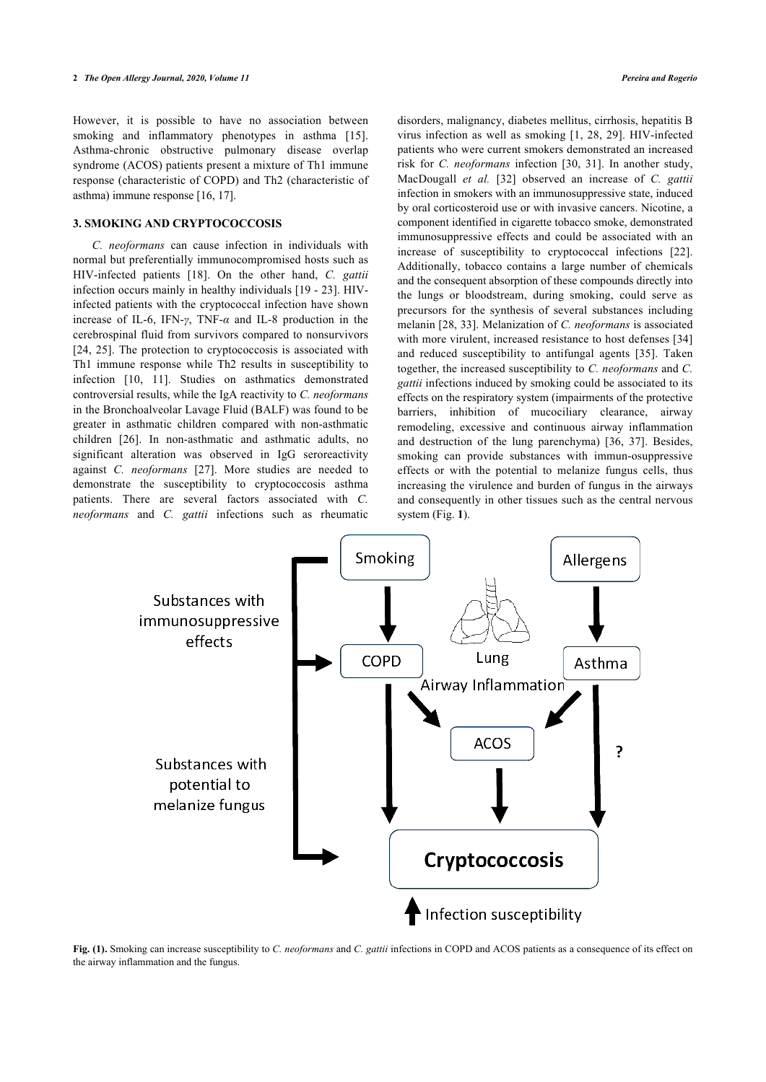However, it is possible to have no association between smokingand inflammatory phenotypes in asthma [[15\]](#page-2-11). Asthma-chronic obstructive pulmonary disease overlap syndrome (ACOS) patients present a mixture of Th1 immune response (characteristic of COPD) and Th2 (characteristic of asthma) immune response [[16,](#page-2-12) [17](#page-2-13)].

#### **3. SMOKING AND CRYPTOCOCCOSIS**

*C. neoformans* can cause infection in individuals with normal but preferentially immunocompromised hosts such as HIV-infected patients[[18](#page-2-14)]. On the other hand, *C. gattii* infection occurs mainly in healthy individuals [[19](#page-2-15) - [23](#page-2-16)]. HIVinfected patients with the cryptococcal infection have shown increase of IL-6, IFN-*γ*, TNF-*α* and IL-8 production in the cerebrospinal fluid from survivors compared to nonsurvivors [[24,](#page-2-17) [25\]](#page-2-18). The protection to cryptococcosis is associated with Th1 immune response while Th2 results in susceptibility to infection[[10,](#page-2-7) [11\]](#page-2-8). Studies on asthmatics demonstrated controversial results, while the IgA reactivity to *C. neoformans* in the Bronchoalveolar Lavage Fluid (BALF) was found to be greater in [as](#page-2-19)thmatic children compared with non-asthmatic children [26]. In non-asthmatic and asthmatic adults, no significant alteration wa[s o](#page-2-20)bserved in IgG seroreactivity against *C. neoformans* [27]. More studies are needed to demonstrate the susceptibility to cryptococcosis asthma patients. There are several factors associated with *C. neoformans* and *C. gattii* infections such as rheumatic disorders, malignancy, diabetes mellitus, cirrhosis, hepatitis B virus infection as well as smoking [\[1,](#page-2-0) [28,](#page-2-21) [29\]](#page-2-22). HIV-infected patients who were current smokers demonstrated an increased risk for *C. neoformans* infection[[30](#page-2-23), [31](#page-2-24)]. In another study, MacDougall *et al.* [[32](#page-2-25)] observed an increase of *C. gattii* infection in smokers with an immunosuppressive state, induced by oral corticosteroid use or with invasive cancers. Nicotine, a component identified in cigarette tobacco smoke, demonstrated immunosuppressive effects and could be associated with an increase of susceptibility to cryptococcal infections[[22](#page-2-26)]. Additionally, tobacco contains a large number of chemicals and the consequent absorption of these compounds directly into the lungs or bloodstream, during smoking, could serve as precursors for the synthesis of several substances including melanin [[28](#page-2-21), [33](#page-2-27)]. Melanization of *C. neoformans* is associated with more virulent, increased resistance to host defenses [34] and reduced susceptibility to antifungal agents[[35](#page-3-0)]. Taken together, the increased susceptibility to *C. neoformans* and *C. gattii* infections induced by smoking could be associated to its effects on the respiratory system (impairments of the protective barriers, inhibition of mucociliary clearance, airway remodeling, excessive and continuous airway inflammation and destruction of the lung parenchyma)[[36,](#page-3-1) [37](#page-3-2)]. Besides, smoking can provide substances with immun-osuppressive effects or with the potential to melanize fungus cells, thus increasing the virulence and burden of fungus in the airways and consequently in other tissues such as the central nervous system (Fig. **[1](#page-1-0)**).

<span id="page-1-0"></span>

**Fig. (1).** Smoking can increase susceptibility to *C. neoformans* and *C. gattii* infections in COPD and ACOS patients as a consequence of its effect on the airway inflammation and the fungus.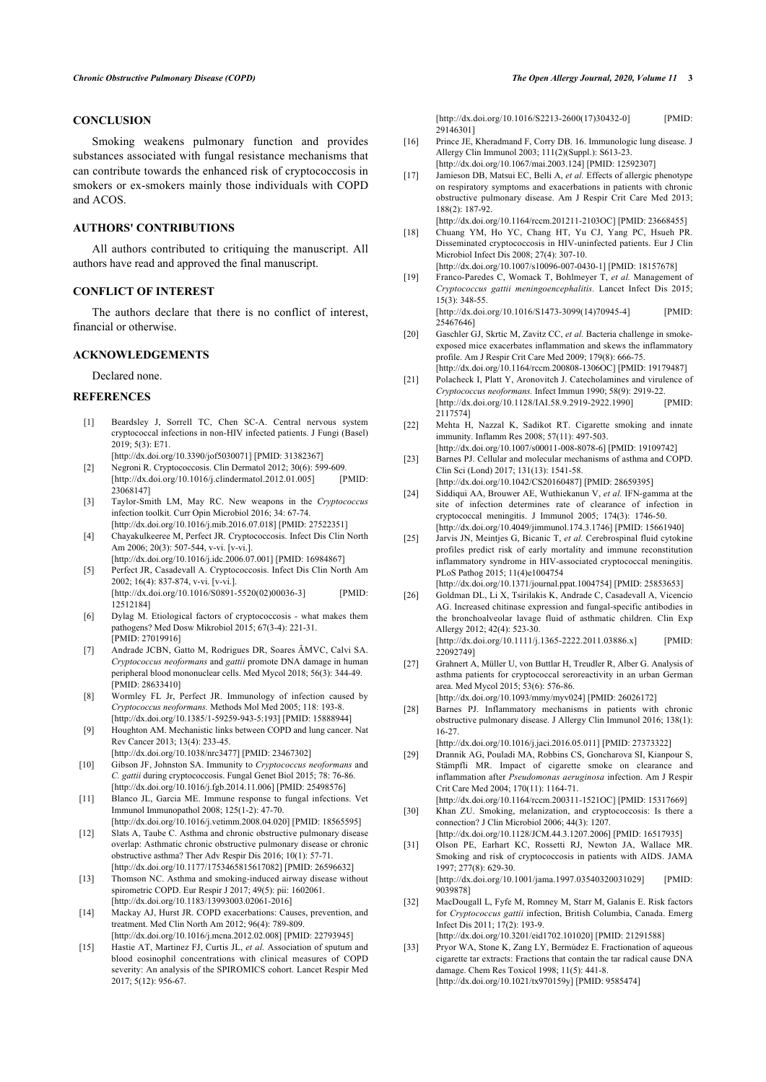# **CONCLUSION**

<span id="page-2-13"></span><span id="page-2-12"></span>Smoking weakens pulmonary function and provides substances associated with fungal resistance mechanisms that can contribute towards the enhanced risk of cryptococcosis in smokers or ex-smokers mainly those individuals with COPD and ACOS.

# <span id="page-2-14"></span>**AUTHORS' CONTRIBUTIONS**

All authors contributed to critiquing the manuscript. All authors have read and approved the final manuscript.

#### <span id="page-2-15"></span>**CONFLICT OF INTEREST**

The authors declare that there is no conflict of interest, financial or otherwise.

#### **ACKNOWLEDGEMENTS**

Declared none.

#### <span id="page-2-26"></span><span id="page-2-0"></span>**REFERENCES**

- [1] Beardsley J, Sorrell TC, Chen SC-A. Central nervous system cryptococcal infections in non-HIV infected patients. J Fungi (Basel) 2019; 5(3): E71.
- <span id="page-2-16"></span><span id="page-2-1"></span>[\[http://dx.doi.org/10.3390/jof5030071](http://dx.doi.org/10.3390/jof5030071)] [PMID: [31382367](http://www.ncbi.nlm.nih.gov/pubmed/31382367)] [2] Negroni R. Cryptococcosis. Clin Dermatol 2012; 30(6): 599-609. [\[http://dx.doi.org/10.1016/j.clindermatol.2012.01.005](http://dx.doi.org/10.1016/j.clindermatol.2012.01.005)] [PMID:
- <span id="page-2-17"></span><span id="page-2-2"></span>[23068147\]](http://www.ncbi.nlm.nih.gov/pubmed/23068147) [3] Taylor-Smith LM, May RC. New weapons in the *Cryptococcus* infection toolkit. Curr Opin Microbiol 2016; 34: 67-74.
- <span id="page-2-18"></span><span id="page-2-3"></span>[\[http://dx.doi.org/10.1016/j.mib.2016.07.018\]](http://dx.doi.org/10.1016/j.mib.2016.07.018) [PMID: [27522351](http://www.ncbi.nlm.nih.gov/pubmed/27522351)] [4] Chayakulkeeree M, Perfect JR. Cryptococcosis. Infect Dis Clin North Am 2006; 20(3): 507-544, v-vi. [v-vi.].
	- [\[http://dx.doi.org/10.1016/j.idc.2006.07.001](http://dx.doi.org/10.1016/j.idc.2006.07.001)] [PMID: [16984867\]](http://www.ncbi.nlm.nih.gov/pubmed/16984867)
- [5] Perfect JR, Casadevall A. Cryptococcosis. Infect Dis Clin North Am 2002; 16(4): 837-874, v-vi. [v-vi.]. [\[http://dx.doi.org/10.1016/S0891-5520\(02\)00036-3](http://dx.doi.org/10.1016/S0891-5520(02)00036-3)] [PMID: [12512184\]](http://www.ncbi.nlm.nih.gov/pubmed/12512184)
- <span id="page-2-19"></span>[6] Dylag M. Etiological factors of cryptococcosis - what makes them pathogens? Med Dosw Mikrobiol 2015; 67(3-4): 221-31. [PMID: [27019916](http://www.ncbi.nlm.nih.gov/pubmed/27019916)]
- <span id="page-2-20"></span><span id="page-2-4"></span>[7] Andrade JCBN, Gatto M, Rodrigues DR, Soares ÂMVC, Calvi SA. *Cryptococcus neoformans* and *gattii* promote DNA damage in human peripheral blood mononuclear cells. Med Mycol 2018; 56(3): 344-49. [PMID: [28633410](http://www.ncbi.nlm.nih.gov/pubmed/28633410)]
- <span id="page-2-21"></span><span id="page-2-5"></span>[8] Wormley FL Jr, Perfect JR. Immunology of infection caused by *Cryptococcus neoformans.* Methods Mol Med 2005; 118: 193-8. [\[http://dx.doi.org/10.1385/1-59259-943-5:193\]](http://dx.doi.org/10.1385/1-59259-943-5:193) [PMID: [15888944](http://www.ncbi.nlm.nih.gov/pubmed/15888944)]
- <span id="page-2-6"></span>[9] Houghton AM. Mechanistic links between COPD and lung cancer. Nat Rev Cancer 2013; 13(4): 233-45.
- <span id="page-2-22"></span><span id="page-2-7"></span>[\[http://dx.doi.org/10.1038/nrc3477](http://dx.doi.org/10.1038/nrc3477)] [PMID: [23467302\]](http://www.ncbi.nlm.nih.gov/pubmed/23467302) [10] Gibson JF, Johnston SA. Immunity to *Cryptococcus neoformans* and
- *C. gattii* during cryptococcosis. Fungal Genet Biol 2015; 78: 76-86. [\[http://dx.doi.org/10.1016/j.fgb.2014.11.006\]](http://dx.doi.org/10.1016/j.fgb.2014.11.006) [PMID: [25498576\]](http://www.ncbi.nlm.nih.gov/pubmed/25498576)
- <span id="page-2-23"></span><span id="page-2-8"></span>[11] Blanco JL, Garcia ME. Immune response to fungal infections. Vet Immunol Immunopathol 2008; 125(1-2): 47-70. [\[http://dx.doi.org/10.1016/j.vetimm.2008.04.020](http://dx.doi.org/10.1016/j.vetimm.2008.04.020)] [PMID: [18565595\]](http://www.ncbi.nlm.nih.gov/pubmed/18565595)
- <span id="page-2-24"></span><span id="page-2-9"></span>[12] Slats A, Taube C. Asthma and chronic obstructive pulmonary disease overlap: Asthmatic chronic obstructive pulmonary disease or chronic obstructive asthma? Ther Adv Respir Dis 2016; 10(1): 57-71. [\[http://dx.doi.org/10.1177/1753465815617082](http://dx.doi.org/10.1177/1753465815617082)] [PMID: [26596632\]](http://www.ncbi.nlm.nih.gov/pubmed/26596632)
- [13] Thomson NC. Asthma and smoking-induced airway disease without spirometric COPD. Eur Respir J 2017; 49(5): pii: 1602061. [\[http://dx.doi.org/10.1183/13993003.02061-2016\]](http://dx.doi.org/10.1183/13993003.02061-2016)
- <span id="page-2-25"></span><span id="page-2-10"></span>[14] Mackay AJ, Hurst JR. COPD exacerbations: Causes, prevention, and treatment. Med Clin North Am 2012; 96(4): 789-809. [\[http://dx.doi.org/10.1016/j.mcna.2012.02.008\]](http://dx.doi.org/10.1016/j.mcna.2012.02.008) [PMID: [22793945](http://www.ncbi.nlm.nih.gov/pubmed/22793945)]
- <span id="page-2-27"></span><span id="page-2-11"></span>[15] Hastie AT, Martinez FJ, Curtis JL, *et al.* Association of sputum and blood eosinophil concentrations with clinical measures of COPD severity: An analysis of the SPIROMICS cohort. Lancet Respir Med 2017; 5(12): 956-67.

[\[http://dx.doi.org/10.1016/S2213-2600\(17\)30432-0](http://dx.doi.org/10.1016/S2213-2600(17)30432-0)] [PMID: [29146301\]](http://www.ncbi.nlm.nih.gov/pubmed/29146301)

- [16] Prince JE, Kheradmand F, Corry DB. 16. Immunologic lung disease. J Allergy Clin Immunol 2003; 111(2)(Suppl.): S613-23. [\[http://dx.doi.org/10.1067/mai.2003.124\]](http://dx.doi.org/10.1067/mai.2003.124) [PMID: [12592307\]](http://www.ncbi.nlm.nih.gov/pubmed/12592307)
- [17] Jamieson DB, Matsui EC, Belli A, *et al.* Effects of allergic phenotype on respiratory symptoms and exacerbations in patients with chronic obstructive pulmonary disease. Am J Respir Crit Care Med 2013; 188(2): 187-92. [\[http://dx.doi.org/10.1164/rccm.201211-2103OC](http://dx.doi.org/10.1164/rccm.201211-2103OC)] [PMID: [23668455\]](http://www.ncbi.nlm.nih.gov/pubmed/23668455)
- [18] Chuang YM, Ho YC, Chang HT, Yu CJ, Yang PC, Hsueh PR. Disseminated cryptococcosis in HIV-uninfected patients. Eur J Clin Microbiol Infect Dis 2008; 27(4): 307-10.

[\[http://dx.doi.org/10.1007/s10096-007-0430-1\]](http://dx.doi.org/10.1007/s10096-007-0430-1) [PMID: [18157678](http://www.ncbi.nlm.nih.gov/pubmed/18157678)] [19] Franco-Paredes C, Womack T, Bohlmeyer T, *et al.* Management of

- *Cryptococcus gattii meningoencephalitis.* Lancet Infect Dis 2015; 15(3): 348-55.
- [\[http://dx.doi.org/10.1016/S1473-3099\(14\)70945-4](http://dx.doi.org/10.1016/S1473-3099(14)70945-4)] [PMID: [25467646\]](http://www.ncbi.nlm.nih.gov/pubmed/25467646)
- [20] Gaschler GJ, Skrtic M, Zavitz CC, et al. Bacteria challenge in smokeexposed mice exacerbates inflammation and skews the inflammatory profile. Am J Respir Crit Care Med 2009; 179(8): 666-75. [\[http://dx.doi.org/10.1164/rccm.200808-1306OC](http://dx.doi.org/10.1164/rccm.200808-1306OC)] [PMID: [19179487\]](http://www.ncbi.nlm.nih.gov/pubmed/19179487)
- [21] Polacheck I, Platt Y, Aronovitch J. Catecholamines and virulence of *Cryptococcus neoformans.* Infect Immun 1990; 58(9): 2919-22. [\[http://dx.doi.org/10.1128/IAI.58.9.2919-2922.1990](http://dx.doi.org/10.1128/IAI.58.9.2919-2922.1990)] [PMID: [2117574](http://www.ncbi.nlm.nih.gov/pubmed/2117574)]
- [22] Mehta H, Nazzal K, Sadikot RT. Cigarette smoking and innate immunity. Inflamm Res 2008; 57(11): 497-503.
- [\[http://dx.doi.org/10.1007/s00011-008-8078-6\]](http://dx.doi.org/10.1007/s00011-008-8078-6) [PMID: [19109742](http://www.ncbi.nlm.nih.gov/pubmed/19109742)] [23] Barnes PJ. Cellular and molecular mechanisms of asthma and COPD. Clin Sci (Lond) 2017; 131(13): 1541-58. [\[http://dx.doi.org/10.1042/CS20160487](http://dx.doi.org/10.1042/CS20160487)] [PMID: [28659395\]](http://www.ncbi.nlm.nih.gov/pubmed/28659395)
- [24] Siddiqui AA, Brouwer AE, Wuthiekanun V, *et al.* IFN-gamma at the site of infection determines rate of clearance of infection in cryptococcal meningitis. J Immunol 2005; 174(3): 1746-50. [\[http://dx.doi.org/10.4049/jimmunol.174.3.1746\]](http://dx.doi.org/10.4049/jimmunol.174.3.1746) [PMID: [15661940\]](http://www.ncbi.nlm.nih.gov/pubmed/15661940)
- [25] Jarvis JN, Meintjes G, Bicanic T, *et al.* Cerebrospinal fluid cytokine profiles predict risk of early mortality and immune reconstitution inflammatory syndrome in HIV-associated cryptococcal meningitis. PLoS Pathog 2015; 11(4)e1004754 [\[http://dx.doi.org/10.1371/journal.ppat.1004754](http://dx.doi.org/10.1371/journal.ppat.1004754)] [PMID: [25853653\]](http://www.ncbi.nlm.nih.gov/pubmed/25853653)
- [26] Goldman DL, Li X, Tsirilakis K, Andrade C, Casadevall A, Vicencio AG. Increased chitinase expression and fungal-specific antibodies in the bronchoalveolar lavage fluid of asthmatic children. Clin Exp Allergy 2012; 42(4): 523-30. [\[http://dx.doi.org/10.1111/j.1365-2222.2011.03886.x\]](http://dx.doi.org/10.1111/j.1365-2222.2011.03886.x) [PMID: [22092749\]](http://www.ncbi.nlm.nih.gov/pubmed/22092749)
- [27] Grahnert A, Müller U, von Buttlar H, Treudler R, Alber G. Analysis of asthma patients for cryptococcal seroreactivity in an urban German area. Med Mycol 2015; 53(6): 576-86. [\[http://dx.doi.org/10.1093/mmy/myv024\]](http://dx.doi.org/10.1093/mmy/myv024) [PMID: [26026172](http://www.ncbi.nlm.nih.gov/pubmed/26026172)]
- [28] Barnes PJ. Inflammatory mechanisms in patients with chronic obstructive pulmonary disease. J Allergy Clin Immunol 2016; 138(1): 16-27.
- [\[http://dx.doi.org/10.1016/j.jaci.2016.05.011](http://dx.doi.org/10.1016/j.jaci.2016.05.011)] [PMID: [27373322\]](http://www.ncbi.nlm.nih.gov/pubmed/27373322)
- [29] Drannik AG, Pouladi MA, Robbins CS, Goncharova SI, Kianpour S, Stämpfli MR. Impact of cigarette smoke on clearance and inflammation after *Pseudomonas aeruginosa* infection. Am J Respir Crit Care Med 2004; 170(11): 1164-71.
- [\[http://dx.doi.org/10.1164/rccm.200311-1521OC](http://dx.doi.org/10.1164/rccm.200311-1521OC)] [PMID: [15317669\]](http://www.ncbi.nlm.nih.gov/pubmed/15317669) [30] Khan ZU. Smoking, melanization, and cryptococcosis: Is there a connection? J Clin Microbiol 2006; 44(3): 1207.
- [\[http://dx.doi.org/10.1128/JCM.44.3.1207.2006\]](http://dx.doi.org/10.1128/JCM.44.3.1207.2006) [PMID: [16517935](http://www.ncbi.nlm.nih.gov/pubmed/16517935)] [31] Olson PE, Earhart KC, Rossetti RJ, Newton JA, Wallace MR. Smoking and risk of cryptococcosis in patients with AIDS. JAMA 1997; 277(8): 629-30.

[\[http://dx.doi.org/10.1001/jama.1997.03540320031029\]](http://dx.doi.org/10.1001/jama.1997.03540320031029) [PMID: [9039878](http://www.ncbi.nlm.nih.gov/pubmed/9039878)]

- [32] MacDougall L, Fyfe M, Romney M, Starr M, Galanis E. Risk factors for *Cryptococcus gattii* infection, British Columbia, Canada. Emerg Infect Dis 2011; 17(2): 193-9. [\[http://dx.doi.org/10.3201/eid1702.101020\]](http://dx.doi.org/10.3201/eid1702.101020) [PMID: [21291588](http://www.ncbi.nlm.nih.gov/pubmed/21291588)]
- [33] Pryor WA, Stone K, Zang LY, Bermúdez E. Fractionation of aqueous cigarette tar extracts: Fractions that contain the tar radical cause DNA damage. Chem Res Toxicol 1998; 11(5): 441-8. [\[http://dx.doi.org/10.1021/tx970159y](http://dx.doi.org/10.1021/tx970159y)] [PMID: [9585474\]](http://www.ncbi.nlm.nih.gov/pubmed/9585474)